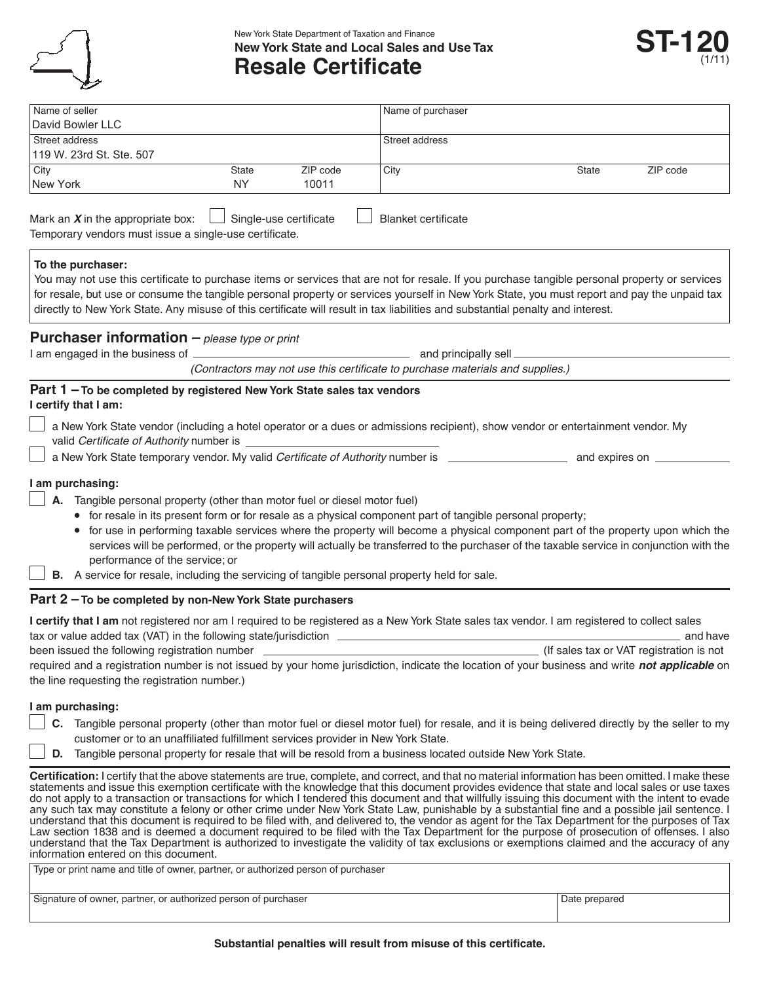

New York State Department of Taxation and Finance **New York State and Local Sales and Use Tax Resale Certificate**



| Name of seller<br>David Bowler LLC                                                                                                                                                                                                                                                                                                                                                                                                                                                                                                                                                                                                                                                                                                                                                                                                                                                                                                                                                                                                                                                                       |           |                        | Name of purchaser                                                                                          |                                                                                                                                                                                                                                                                                                |                                                      |
|----------------------------------------------------------------------------------------------------------------------------------------------------------------------------------------------------------------------------------------------------------------------------------------------------------------------------------------------------------------------------------------------------------------------------------------------------------------------------------------------------------------------------------------------------------------------------------------------------------------------------------------------------------------------------------------------------------------------------------------------------------------------------------------------------------------------------------------------------------------------------------------------------------------------------------------------------------------------------------------------------------------------------------------------------------------------------------------------------------|-----------|------------------------|------------------------------------------------------------------------------------------------------------|------------------------------------------------------------------------------------------------------------------------------------------------------------------------------------------------------------------------------------------------------------------------------------------------|------------------------------------------------------|
| Street address                                                                                                                                                                                                                                                                                                                                                                                                                                                                                                                                                                                                                                                                                                                                                                                                                                                                                                                                                                                                                                                                                           |           |                        | Street address                                                                                             |                                                                                                                                                                                                                                                                                                |                                                      |
| 119 W. 23rd St. Ste. 507                                                                                                                                                                                                                                                                                                                                                                                                                                                                                                                                                                                                                                                                                                                                                                                                                                                                                                                                                                                                                                                                                 |           |                        |                                                                                                            |                                                                                                                                                                                                                                                                                                |                                                      |
| City                                                                                                                                                                                                                                                                                                                                                                                                                                                                                                                                                                                                                                                                                                                                                                                                                                                                                                                                                                                                                                                                                                     | State     | ZIP code               | City                                                                                                       | State                                                                                                                                                                                                                                                                                          | ZIP code                                             |
| New York                                                                                                                                                                                                                                                                                                                                                                                                                                                                                                                                                                                                                                                                                                                                                                                                                                                                                                                                                                                                                                                                                                 | <b>NY</b> | 10011                  |                                                                                                            |                                                                                                                                                                                                                                                                                                |                                                      |
| Mark an $X$ in the appropriate box:<br>Temporary vendors must issue a single-use certificate.                                                                                                                                                                                                                                                                                                                                                                                                                                                                                                                                                                                                                                                                                                                                                                                                                                                                                                                                                                                                            |           | Single-use certificate | <b>Blanket certificate</b>                                                                                 |                                                                                                                                                                                                                                                                                                |                                                      |
| To the purchaser:<br>directly to New York State. Any misuse of this certificate will result in tax liabilities and substantial penalty and interest.                                                                                                                                                                                                                                                                                                                                                                                                                                                                                                                                                                                                                                                                                                                                                                                                                                                                                                                                                     |           |                        |                                                                                                            | You may not use this certificate to purchase items or services that are not for resale. If you purchase tangible personal property or services<br>for resale, but use or consume the tangible personal property or services yourself in New York State, you must report and pay the unpaid tax |                                                      |
| <b>Purchaser information</b> $-\rho$ <i>please type or print</i>                                                                                                                                                                                                                                                                                                                                                                                                                                                                                                                                                                                                                                                                                                                                                                                                                                                                                                                                                                                                                                         |           |                        |                                                                                                            |                                                                                                                                                                                                                                                                                                |                                                      |
|                                                                                                                                                                                                                                                                                                                                                                                                                                                                                                                                                                                                                                                                                                                                                                                                                                                                                                                                                                                                                                                                                                          |           |                        |                                                                                                            |                                                                                                                                                                                                                                                                                                |                                                      |
|                                                                                                                                                                                                                                                                                                                                                                                                                                                                                                                                                                                                                                                                                                                                                                                                                                                                                                                                                                                                                                                                                                          |           |                        | (Contractors may not use this certificate to purchase materials and supplies.)                             |                                                                                                                                                                                                                                                                                                |                                                      |
| Part 1-To be completed by registered New York State sales tax vendors<br>I certify that I am:<br>valid Certificate of Authority number is                                                                                                                                                                                                                                                                                                                                                                                                                                                                                                                                                                                                                                                                                                                                                                                                                                                                                                                                                                |           |                        |                                                                                                            | a New York State vendor (including a hotel operator or a dues or admissions recipient), show vendor or entertainment vendor. My                                                                                                                                                                |                                                      |
|                                                                                                                                                                                                                                                                                                                                                                                                                                                                                                                                                                                                                                                                                                                                                                                                                                                                                                                                                                                                                                                                                                          |           |                        |                                                                                                            |                                                                                                                                                                                                                                                                                                |                                                      |
| Tangible personal property (other than motor fuel or diesel motor fuel)<br>performance of the service; or<br>B. A service for resale, including the servicing of tangible personal property held for sale.                                                                                                                                                                                                                                                                                                                                                                                                                                                                                                                                                                                                                                                                                                                                                                                                                                                                                               |           |                        | • for resale in its present form or for resale as a physical component part of tangible personal property; | • for use in performing taxable services where the property will become a physical component part of the property upon which the<br>services will be performed, or the property will actually be transferred to the purchaser of the taxable service in conjunction with the                   |                                                      |
| Part 2 - To be completed by non-New York State purchasers                                                                                                                                                                                                                                                                                                                                                                                                                                                                                                                                                                                                                                                                                                                                                                                                                                                                                                                                                                                                                                                |           |                        |                                                                                                            |                                                                                                                                                                                                                                                                                                |                                                      |
| I certify that I am not registered nor am I required to be registered as a New York State sales tax vendor. I am registered to collect sales<br>tax or value added tax (VAT) in the following state/jurisdiction _________<br>been issued the following registration number<br>required and a registration number is not issued by your home jurisdiction, indicate the location of your business and write not applicable on<br>the line requesting the registration number.)                                                                                                                                                                                                                                                                                                                                                                                                                                                                                                                                                                                                                           |           |                        |                                                                                                            |                                                                                                                                                                                                                                                                                                | and have<br>(If sales tax or VAT registration is not |
| I am purchasing:<br>customer or to an unaffiliated fulfillment services provider in New York State.<br>D. Tangible personal property for resale that will be resold from a business located outside New York State.                                                                                                                                                                                                                                                                                                                                                                                                                                                                                                                                                                                                                                                                                                                                                                                                                                                                                      |           |                        |                                                                                                            | C. Tangible personal property (other than motor fuel or diesel motor fuel) for resale, and it is being delivered directly by the seller to my                                                                                                                                                  |                                                      |
| Certification: I certify that the above statements are true, complete, and correct, and that no material information has been omitted. I make these<br>statements and issue this exemption certificate with the knowledge that this document provides evidence that state and local sales or use taxes<br>do not apply to a transaction or transactions for which I tendered this document and that willfully issuing this document with the intent to evade<br>any such tax may constitute a felony or other crime under New York State Law, punishable by a substantial fine and a possible jail sentence. I<br>understand that this document is required to be filed with, and delivered to, the vendor as agent for the Tax Department for the purposes of Tax<br>Law section 1838 and is deemed a document required to be filed with the Tax Department for the purpose of prosecution of offenses. I also<br>understand that the Tax Department is authorized to investigate the validity of tax exclusions or exemptions claimed and the accuracy of any<br>information entered on this document. |           |                        |                                                                                                            |                                                                                                                                                                                                                                                                                                |                                                      |
| Type or print name and title of owner, partner, or authorized person of purchaser                                                                                                                                                                                                                                                                                                                                                                                                                                                                                                                                                                                                                                                                                                                                                                                                                                                                                                                                                                                                                        |           |                        |                                                                                                            |                                                                                                                                                                                                                                                                                                |                                                      |
| Signature of owner, partner, or authorized person of purchaser                                                                                                                                                                                                                                                                                                                                                                                                                                                                                                                                                                                                                                                                                                                                                                                                                                                                                                                                                                                                                                           |           |                        |                                                                                                            | Date prepared                                                                                                                                                                                                                                                                                  |                                                      |